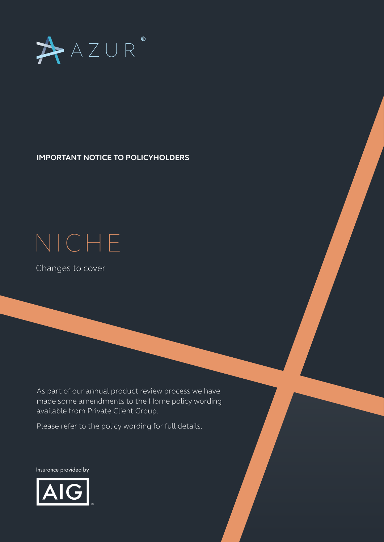

**IMPORTANT NOTICE TO POLICYHOLDERS** 

## NICHE

Changes to cover

As part of our annual product review process we have made some amendments to the Home policy wording available from Private Client Group.

Please refer to the policy wording for full details.

Insurance provided by

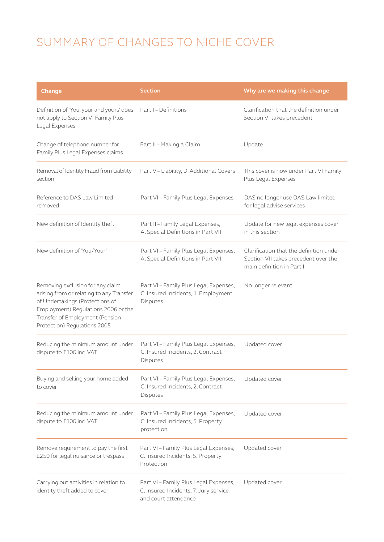## SUMMARY OF CHANGES TO NICHE COVER

| Change                                                                                                                                                                                                                    | <b>Section</b>                                                                                         | Why are we making this change                                                                                |
|---------------------------------------------------------------------------------------------------------------------------------------------------------------------------------------------------------------------------|--------------------------------------------------------------------------------------------------------|--------------------------------------------------------------------------------------------------------------|
| Definition of 'You, your and yours' does<br>not apply to Section VI Family Plus<br>Legal Expenses                                                                                                                         | Part I - Definitions                                                                                   | Clarification that the definition under<br>Section VI takes precedent                                        |
| Change of telephone number for<br>Family Plus Legal Expenses claims                                                                                                                                                       | Part II - Making a Claim                                                                               | Update                                                                                                       |
| Removal of Identity Fraud from Liability<br>section                                                                                                                                                                       | Part V - Liability, D. Additional Covers                                                               | This cover is now under Part VI Family<br>Plus Legal Expenses                                                |
| Reference to DAS Law Limited<br>removed                                                                                                                                                                                   | Part VI - Family Plus Legal Expenses                                                                   | DAS no longer use DAS Law limited<br>for legal advise services                                               |
| New definition of Identity theft                                                                                                                                                                                          | Part II - Family Legal Expenses,<br>A. Special Definitions in Part VII                                 | Update for new legal expenses cover<br>in this section                                                       |
| New definition of 'You/Your'                                                                                                                                                                                              | Part VI - Family Plus Legal Expenses,<br>A. Special Definitions in Part VII                            | Clarification that the definition under<br>Section VII takes precedent over the<br>main definition in Part I |
| Removing exclusion for any claim<br>arising from or relating to any Transfer<br>of Undertakings (Protections of<br>Employment) Regulations 2006 or the<br>Transfer of Employment (Pension<br>Protection) Regulations 2005 | Part VI - Family Plus Legal Expenses,<br>C. Insured Incidents, 1. Employment<br>Disputes               | No longer relevant                                                                                           |
| Reducing the minimum amount under<br>dispute to £100 inc. VAT                                                                                                                                                             | Part VI - Family Plus Legal Expenses,<br>C. Insured Incidents, 2. Contract<br>Disputes                 | Updated cover                                                                                                |
| Buying and selling your home added<br>to cover                                                                                                                                                                            | Part VI - Family Plus Legal Expenses,<br>C. Insured Incidents, 2. Contract<br>Disputes                 | Updated cover                                                                                                |
| Reducing the minimum amount under<br>dispute to £100 inc. VAT                                                                                                                                                             | Part VI - Family Plus Legal Expenses,<br>C. Insured Incidents, 5. Property<br>protection               | Updated cover                                                                                                |
| Remove requirement to pay the first<br>£250 for legal nuisance or trespass                                                                                                                                                | Part VI - Family Plus Legal Expenses,<br>C. Insured Incidents, 5. Property<br>Protection               | Updated cover                                                                                                |
| Carrying out activities in relation to<br>identity theft added to cover                                                                                                                                                   | Part VI - Family Plus Legal Expenses,<br>C. Insured Incidents, 7. Jury service<br>and court attendance | Updated cover                                                                                                |